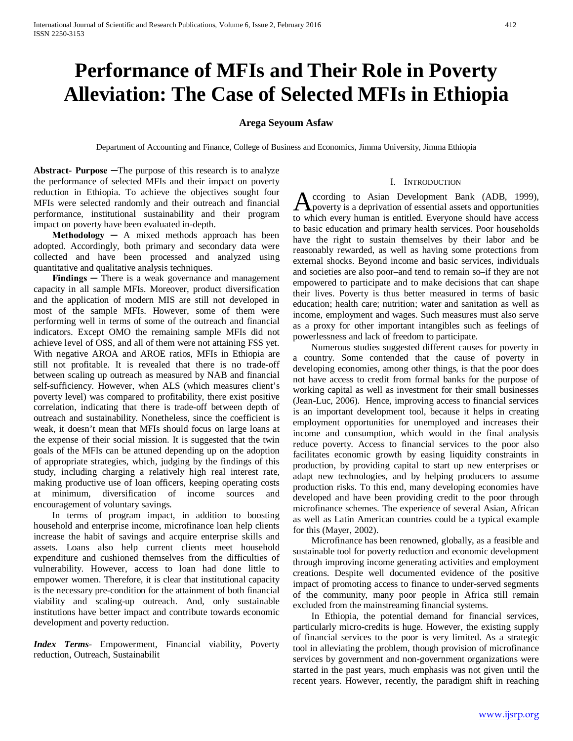# **Performance of MFIs and Their Role in Poverty Alleviation: The Case of Selected MFIs in Ethiopia**

## **Arega Seyoum Asfaw**

Department of Accounting and Finance, College of Business and Economics, Jimma University, Jimma Ethiopia

**Abstract- Purpose ─**The purpose of this research is to analyze the performance of selected MFIs and their impact on poverty reduction in Ethiopia. To achieve the objectives sought four MFIs were selected randomly and their outreach and financial performance, institutional sustainability and their program impact on poverty have been evaluated in-depth.

 $$ adopted. Accordingly, both primary and secondary data were collected and have been processed and analyzed using quantitative and qualitative analysis techniques.

**Findings** — There is a weak governance and management capacity in all sample MFIs. Moreover, product diversification and the application of modern MIS are still not developed in most of the sample MFIs. However, some of them were performing well in terms of some of the outreach and financial indicators. Except OMO the remaining sample MFIs did not achieve level of OSS, and all of them were not attaining FSS yet. With negative AROA and AROE ratios, MFIs in Ethiopia are still not profitable. It is revealed that there is no trade-off between scaling up outreach as measured by NAB and financial self-sufficiency. However, when ALS (which measures client's poverty level) was compared to profitability, there exist positive correlation, indicating that there is trade-off between depth of outreach and sustainability. Nonetheless, since the coefficient is weak, it doesn't mean that MFIs should focus on large loans at the expense of their social mission. It is suggested that the twin goals of the MFIs can be attuned depending up on the adoption of appropriate strategies, which, judging by the findings of this study, including charging a relatively high real interest rate, making productive use of loan officers, keeping operating costs at minimum, diversification of income sources and encouragement of voluntary savings.

In terms of program impact, in addition to boosting household and enterprise income, microfinance loan help clients increase the habit of savings and acquire enterprise skills and assets. Loans also help current clients meet household expenditure and cushioned themselves from the difficulties of vulnerability. However, access to loan had done little to empower women. Therefore, it is clear that institutional capacity is the necessary pre-condition for the attainment of both financial viability and scaling-up outreach. And, only sustainable institutions have better impact and contribute towards economic development and poverty reduction.

*Index Terms*- Empowerment, Financial viability, Poverty reduction, Outreach, Sustainabilit

#### I. INTRODUCTION

ccording to Asian Development Bank (ADB, 1999), According to Asian Development Bank (ADB, 1999), poverty is a deprivation of essential assets and opportunities to which every human is entitled. Everyone should have access to basic education and primary health services. Poor households have the right to sustain themselves by their labor and be reasonably rewarded, as well as having some protections from external shocks. Beyond income and basic services, individuals and societies are also poor–and tend to remain so–if they are not empowered to participate and to make decisions that can shape their lives. Poverty is thus better measured in terms of basic education; health care; nutrition; water and sanitation as well as income, employment and wages. Such measures must also serve as a proxy for other important intangibles such as feelings of powerlessness and lack of freedom to participate.

 Numerous studies suggested different causes for poverty in a country. Some contended that the cause of poverty in developing economies, among other things, is that the poor does not have access to credit from formal banks for the purpose of working capital as well as investment for their small businesses (Jean-Luc, 2006). Hence, improving access to financial services is an important development tool, because it helps in creating employment opportunities for unemployed and increases their income and consumption, which would in the final analysis reduce poverty. Access to financial services to the poor also facilitates economic growth by easing liquidity constraints in production, by providing capital to start up new enterprises or adapt new technologies, and by helping producers to assume production risks. To this end, many developing economies have developed and have been providing credit to the poor through microfinance schemes. The experience of several Asian, African as well as Latin American countries could be a typical example for this (Mayer, 2002).

 Microfinance has been renowned, globally, as a feasible and sustainable tool for poverty reduction and economic development through improving income generating activities and employment creations. Despite well documented evidence of the positive impact of promoting access to finance to under-served segments of the community, many poor people in Africa still remain excluded from the mainstreaming financial systems.

 In Ethiopia, the potential demand for financial services, particularly micro-credits is huge. However, the existing supply of financial services to the poor is very limited. As a strategic tool in alleviating the problem, though provision of microfinance services by government and non-government organizations were started in the past years, much emphasis was not given until the recent years. However, recently, the paradigm shift in reaching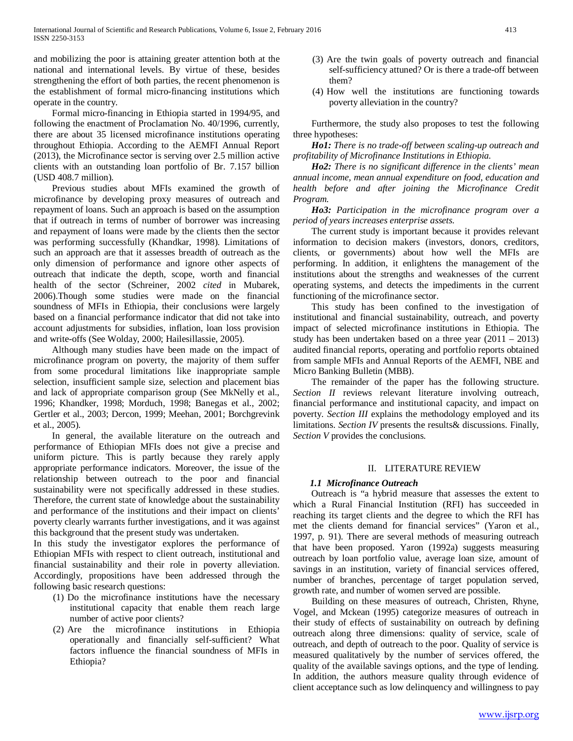and mobilizing the poor is attaining greater attention both at the national and international levels. By virtue of these, besides strengthening the effort of both parties, the recent phenomenon is the establishment of formal micro-financing institutions which operate in the country.

 Formal micro-financing in Ethiopia started in 1994/95, and following the enactment of Proclamation No. 40/1996, currently, there are about 35 licensed microfinance institutions operating throughout Ethiopia. According to the AEMFI Annual Report (2013), the Microfinance sector is serving over 2.5 million active clients with an outstanding loan portfolio of Br. 7.157 billion (USD 408.7 million).

 Previous studies about MFIs examined the growth of microfinance by developing proxy measures of outreach and repayment of loans. Such an approach is based on the assumption that if outreach in terms of number of borrower was increasing and repayment of loans were made by the clients then the sector was performing successfully (Khandkar, 1998). Limitations of such an approach are that it assesses breadth of outreach as the only dimension of performance and ignore other aspects of outreach that indicate the depth, scope, worth and financial health of the sector (Schreiner, 2002 *cited* in Mubarek, 2006).Though some studies were made on the financial soundness of MFIs in Ethiopia, their conclusions were largely based on a financial performance indicator that did not take into account adjustments for subsidies, inflation, loan loss provision and write-offs (See Wolday, 2000; Hailesillassie, 2005).

 Although many studies have been made on the impact of microfinance program on poverty, the majority of them suffer from some procedural limitations like inappropriate sample selection, insufficient sample size, selection and placement bias and lack of appropriate comparison group (See MkNelly et al., 1996; Khandker, 1998; Morduch, 1998; Banegas et al., 2002; Gertler et al., 2003; Dercon, 1999; Meehan, 2001; Borchgrevink et al., 2005).

 In general, the available literature on the outreach and performance of Ethiopian MFIs does not give a precise and uniform picture. This is partly because they rarely apply appropriate performance indicators. Moreover, the issue of the relationship between outreach to the poor and financial sustainability were not specifically addressed in these studies. Therefore, the current state of knowledge about the sustainability and performance of the institutions and their impact on clients' poverty clearly warrants further investigations, and it was against this background that the present study was undertaken.

In this study the investigator explores the performance of Ethiopian MFIs with respect to client outreach, institutional and financial sustainability and their role in poverty alleviation. Accordingly, propositions have been addressed through the following basic research questions:

- (1) Do the microfinance institutions have the necessary institutional capacity that enable them reach large number of active poor clients?
- (2) Are the microfinance institutions in Ethiopia operationally and financially self-sufficient? What factors influence the financial soundness of MFIs in Ethiopia?
- (3) Are the twin goals of poverty outreach and financial self-sufficiency attuned? Or is there a trade-off between them?
- (4) How well the institutions are functioning towards poverty alleviation in the country?

 Furthermore, the study also proposes to test the following three hypotheses:

 *Ho1: There is no trade-off between scaling-up outreach and profitability of Microfinance Institutions in Ethiopia.* 

 *Ho2: There is no significant difference in the clients' mean annual income, mean annual expenditure on food, education and health before and after joining the Microfinance Credit Program.*

 *Ho3: Participation in the microfinance program over a period of years increases enterprise assets.*

 The current study is important because it provides relevant information to decision makers (investors, donors, creditors, clients, or governments) about how well the MFIs are performing. In addition, it enlightens the management of the institutions about the strengths and weaknesses of the current operating systems, and detects the impediments in the current functioning of the microfinance sector.

 This study has been confined to the investigation of institutional and financial sustainability, outreach, and poverty impact of selected microfinance institutions in Ethiopia. The study has been undertaken based on a three year  $(2011 – 2013)$ audited financial reports, operating and portfolio reports obtained from sample MFIs and Annual Reports of the AEMFI, NBE and Micro Banking Bulletin (MBB).

 The remainder of the paper has the following structure. *Section II* reviews relevant literature involving outreach, financial performance and institutional capacity, and impact on poverty. *Section III* explains the methodology employed and its limitations. *Section IV* presents the results& discussions. Finally, *Section V* provides the conclusions.

# II. LITERATURE REVIEW

### *1.1 Microfinance Outreach*

 Outreach is "a hybrid measure that assesses the extent to which a Rural Financial Institution (RFI) has succeeded in reaching its target clients and the degree to which the RFI has met the clients demand for financial services" (Yaron et al., 1997, p. 91). There are several methods of measuring outreach that have been proposed. Yaron (1992a) suggests measuring outreach by loan portfolio value, average loan size, amount of savings in an institution, variety of financial services offered, number of branches, percentage of target population served, growth rate, and number of women served are possible.

 Building on these measures of outreach, Christen, Rhyne, Vogel, and Mckean (1995) categorize measures of outreach in their study of effects of sustainability on outreach by defining outreach along three dimensions: quality of service, scale of outreach, and depth of outreach to the poor. Quality of service is measured qualitatively by the number of services offered, the quality of the available savings options, and the type of lending. In addition, the authors measure quality through evidence of client acceptance such as low delinquency and willingness to pay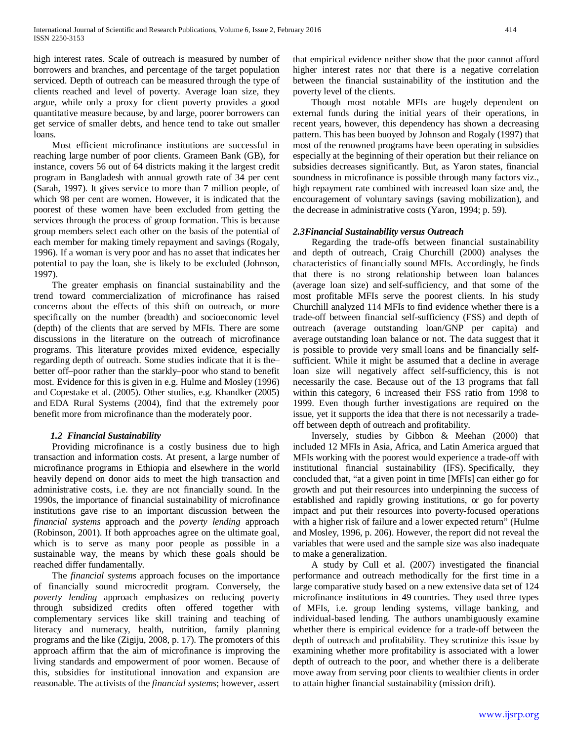high interest rates. Scale of outreach is measured by number of borrowers and branches, and percentage of the target population serviced. Depth of outreach can be measured through the type of clients reached and level of poverty. Average loan size, they argue, while only a proxy for client poverty provides a good quantitative measure because, by and large, poorer borrowers can get service of smaller debts, and hence tend to take out smaller loans.

 Most efficient microfinance institutions are successful in reaching large number of poor clients. Grameen Bank (GB), for instance, covers 56 out of 64 districts making it the largest credit program in Bangladesh with annual growth rate of 34 per cent (Sarah, 1997). It gives service to more than 7 million people, of which 98 per cent are women. However, it is indicated that the poorest of these women have been excluded from getting the services through the process of group formation. This is because group members select each other on the basis of the potential of each member for making timely repayment and savings (Rogaly, 1996). If a woman is very poor and has no asset that indicates her potential to pay the loan, she is likely to be excluded (Johnson, 1997).

 The greater emphasis on financial sustainability and the trend toward commercialization of microfinance has raised concerns about the effects of this shift on outreach, or more specifically on the number (breadth) and socioeconomic level (depth) of the clients that are served by MFIs. There are some discussions in the literature on the outreach of microfinance programs. This literature provides mixed evidence, especially regarding depth of outreach. Some studies indicate that it is the– better off–poor rather than the starkly–poor who stand to benefit most. Evidence for this is given in e.g. Hulme and Mosley (1996) and Copestake et al. (2005). Other studies, e.g. Khandker (2005) and EDA Rural Systems (2004), find that the extremely poor benefit more from microfinance than the moderately poor.

### *1.2 Financial Sustainability*

 Providing microfinance is a costly business due to high transaction and information costs. At present, a large number of microfinance programs in Ethiopia and elsewhere in the world heavily depend on donor aids to meet the high transaction and administrative costs, i.e. they are not financially sound. In the 1990s, the importance of financial sustainability of microfinance institutions gave rise to an important discussion between the *financial systems* approach and the *poverty lending* approach (Robinson, 2001). If both approaches agree on the ultimate goal, which is to serve as many poor people as possible in a sustainable way, the means by which these goals should be reached differ fundamentally.

 The *financial systems* approach focuses on the importance of financially sound microcredit program. Conversely, the *poverty lending* approach emphasizes on reducing poverty through subsidized credits often offered together with complementary services like skill training and teaching of literacy and numeracy, health, nutrition, family planning programs and the like (Zigiju, 2008, p. 17). The promoters of this approach affirm that the aim of microfinance is improving the living standards and empowerment of poor women. Because of this, subsidies for institutional innovation and expansion are reasonable. The activists of the *financial systems*; however, assert that empirical evidence neither show that the poor cannot afford higher interest rates nor that there is a negative correlation between the financial sustainability of the institution and the poverty level of the clients.

 Though most notable MFIs are hugely dependent on external funds during the initial years of their operations, in recent years, however, this dependency has shown a decreasing pattern. This has been buoyed by Johnson and Rogaly (1997) that most of the renowned programs have been operating in subsidies especially at the beginning of their operation but their reliance on subsidies decreases significantly. But, as Yaron states, financial soundness in microfinance is possible through many factors viz., high repayment rate combined with increased loan size and, the encouragement of voluntary savings (saving mobilization), and the decrease in administrative costs (Yaron, 1994; p. 59).

# *2.3Financial Sustainability versus Outreach*

 Regarding the trade-offs between financial sustainability and depth of outreach, Craig Churchill (2000) analyses the characteristics of financially sound MFIs. Accordingly, he finds that there is no strong relationship between loan balances (average loan size) and self-sufficiency, and that some of the most profitable MFIs serve the poorest clients. In his study Churchill analyzed 114 MFIs to find evidence whether there is a trade-off between financial self-sufficiency (FSS) and depth of outreach (average outstanding loan/GNP per capita) and average outstanding loan balance or not. The data suggest that it is possible to provide very small loans and be financially selfsufficient. While it might be assumed that a decline in average loan size will negatively affect self-sufficiency, this is not necessarily the case. Because out of the 13 programs that fall within this category, 6 increased their FSS ratio from 1998 to 1999. Even though further investigations are required on the issue, yet it supports the idea that there is not necessarily a tradeoff between depth of outreach and profitability.

 Inversely, studies by Gibbon & Meehan (2000) that included 12 MFIs in Asia, Africa, and Latin America argued that MFIs working with the poorest would experience a trade-off with institutional financial sustainability (IFS). Specifically, they concluded that, "at a given point in time [MFIs] can either go for growth and put their resources into underpinning the success of established and rapidly growing institutions, or go for poverty impact and put their resources into poverty-focused operations with a higher risk of failure and a lower expected return" (Hulme and Mosley, 1996, p. 206). However, the report did not reveal the variables that were used and the sample size was also inadequate to make a generalization.

 A study by Cull et al. (2007) investigated the financial performance and outreach methodically for the first time in a large comparative study based on a new extensive data set of 124 microfinance institutions in 49 countries. They used three types of MFIs, i.e. group lending systems, village banking, and individual-based lending. The authors unambiguously examine whether there is empirical evidence for a trade-off between the depth of outreach and profitability. They scrutinize this issue by examining whether more profitability is associated with a lower depth of outreach to the poor, and whether there is a deliberate move away from serving poor clients to wealthier clients in order to attain higher financial sustainability (mission drift).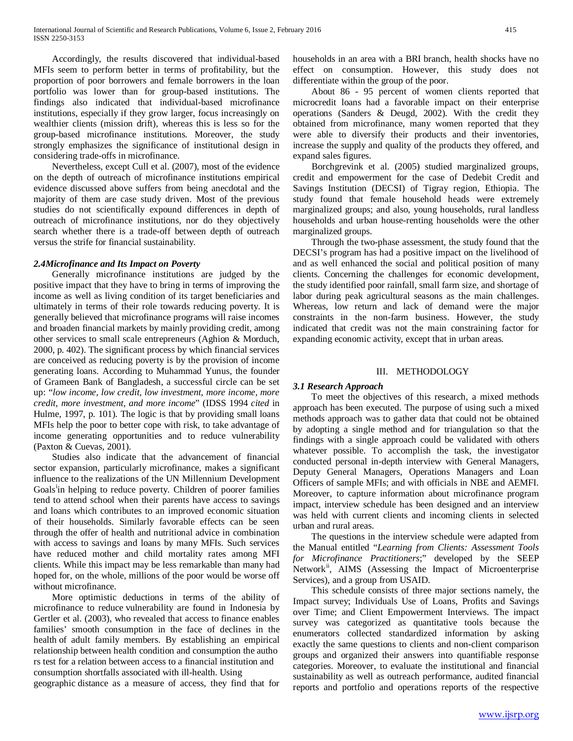Accordingly, the results discovered that individual-based MFIs seem to perform better in terms of profitability, but the proportion of poor borrowers and female borrowers in the loan portfolio was lower than for group-based institutions. The findings also indicated that individual-based microfinance institutions, especially if they grow larger, focus increasingly on wealthier clients (mission drift), whereas this is less so for the group-based microfinance institutions. Moreover, the study strongly emphasizes the significance of institutional design in considering trade-offs in microfinance.

 Nevertheless, except Cull et al. (2007), most of the evidence on the depth of outreach of microfinance institutions empirical evidence discussed above suffers from being anecdotal and the majority of them are case study driven. Most of the previous studies do not scientifically expound differences in depth of outreach of microfinance institutions, nor do they objectively search whether there is a trade-off between depth of outreach versus the strife for financial sustainability.

#### *2.4Microfinance and Its Impact on Poverty*

 Generally microfinance institutions are judged by the positive impact that they have to bring in terms of improving the income as well as living condition of its target beneficiaries and ultimately in terms of their role towards reducing poverty. It is generally believed that microfinance programs will raise incomes and broaden financial markets by mainly providing credit, among other services to small scale entrepreneurs (Aghion & Morduch, 2000, p. 402). The significant process by which financial services are conceived as reducing poverty is by the provision of income generating loans. According to Muhammad Yunus, the founder of Grameen Bank of Bangladesh, a successful circle can be set up: "*low income, low credit, low investment, more income, more credit, more investment, and more income*" (IDSS 1994 *cited* in Hulme, 1997, p. 101). The logic is that by providing small loans MFIs help the poor to better cope with risk, to take advantage of income generating opportunities and to reduce vulnerability (Paxton & Cuevas, 2001).

 Studies also indicate that the advancement of financial sector expansion, particularly microfinance, makes a significant influence to the realizations of the UN Millennium Development Goals<sup>[i](#page-11-0)</sup>in helping to reduce poverty. Children of poorer families tend to attend school when their parents have access to savings and loans which contributes to an improved economic situation of their households. Similarly favorable effects can be seen through the offer of health and nutritional advice in combination with access to savings and loans by many MFIs. Such services have reduced mother and child mortality rates among MFI clients. While this impact may be less remarkable than many had hoped for, on the whole, millions of the poor would be worse off without microfinance.

 More optimistic deductions in terms of the ability of microfinance to reduce vulnerability are found in Indonesia by Gertler et al. (2003), who revealed that access to finance enables families' smooth consumption in the face of declines in the health of adult family members. By establishing an empirical relationship between health condition and consumption the autho rs test for a relation between access to a financial institution and consumption shortfalls associated with ill-health. Using geographic distance as a measure of access, they find that for

households in an area with a BRI branch, health shocks have no effect on consumption. However, this study does not differentiate within the group of the poor.

 About 86 - 95 percent of women clients reported that microcredit loans had a favorable impact on their enterprise operations (Sanders & Deugd, 2002). With the credit they obtained from microfinance, many women reported that they were able to diversify their products and their inventories, increase the supply and quality of the products they offered, and expand sales figures.

 Borchgrevink et al. (2005) studied marginalized groups, credit and empowerment for the case of Dedebit Credit and Savings Institution (DECSI) of Tigray region, Ethiopia. The study found that female household heads were extremely marginalized groups; and also, young households, rural landless households and urban house-renting households were the other marginalized groups.

 Through the two-phase assessment, the study found that the DECSI's program has had a positive impact on the livelihood of and as well enhanced the social and political position of many clients. Concerning the challenges for economic development, the study identified poor rainfall, small farm size, and shortage of labor during peak agricultural seasons as the main challenges. Whereas, low return and lack of demand were the major constraints in the non-farm business. However, the study indicated that credit was not the main constraining factor for expanding economic activity, except that in urban areas.

#### III. METHODOLOGY

### *3.1 Research Approach*

 To meet the objectives of this research, a mixed methods approach has been executed. The purpose of using such a mixed methods approach was to gather data that could not be obtained by adopting a single method and for triangulation so that the findings with a single approach could be validated with others whatever possible. To accomplish the task, the investigator conducted personal in-depth interview with General Managers, Deputy General Managers, Operations Managers and Loan Officers of sample MFIs; and with officials in NBE and AEMFI. Moreover, to capture information about microfinance program impact, interview schedule has been designed and an interview was held with current clients and incoming clients in selected urban and rural areas.

 The questions in the interview schedule were adapted from the Manual entitled "*Learning from Clients: Assessment Tools for Microfinance Practitioners*;" developed by the SEEP Network<sup>[ii](#page-11-1)</sup>, AIMS (Assessing the Impact of Microenterprise Services), and a group from USAID.

 This schedule consists of three major sections namely, the Impact survey; Individuals Use of Loans, Profits and Savings over Time; and Client Empowerment Interviews. The impact survey was categorized as quantitative tools because the enumerators collected standardized information by asking exactly the same questions to clients and non-client comparison groups and organized their answers into quantifiable response categories. Moreover, to evaluate the institutional and financial sustainability as well as outreach performance, audited financial reports and portfolio and operations reports of the respective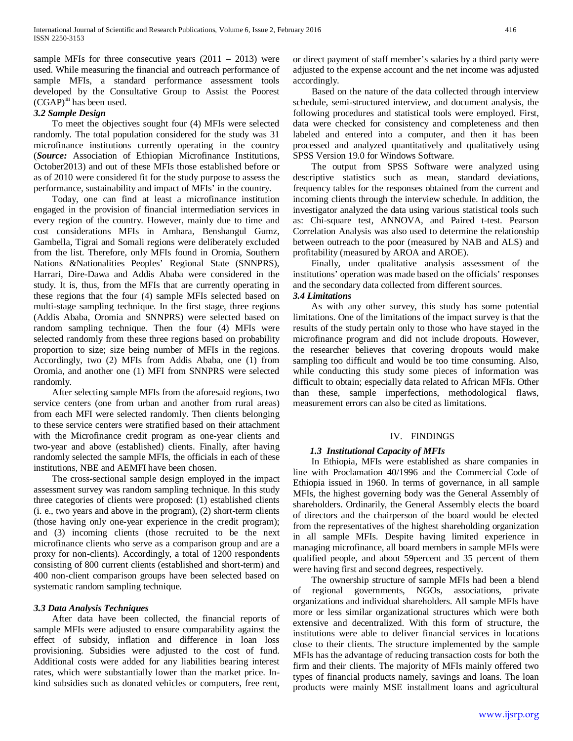sample MFIs for three consecutive years  $(2011 - 2013)$  were used. While measuring the financial and outreach performance of sample MFIs, a standard performance assessment tools developed by the Consultative Group to Assist the Poorest  $(CGAP)^{iii}$  $(CGAP)^{iii}$  $(CGAP)^{iii}$  has been used.

# *3.2 Sample Design*

 To meet the objectives sought four (4) MFIs were selected randomly. The total population considered for the study was 31 microfinance institutions currently operating in the country (*Source:* Association of Ethiopian Microfinance Institutions, October2013) and out of these MFIs those established before or as of 2010 were considered fit for the study purpose to assess the performance, sustainability and impact of MFIs' in the country.

 Today, one can find at least a microfinance institution engaged in the provision of financial intermediation services in every region of the country. However, mainly due to time and cost considerations MFIs in Amhara, Benshangul Gumz, Gambella, Tigrai and Somali regions were deliberately excluded from the list. Therefore, only MFIs found in Oromia, Southern Nations &Nationalities Peoples' Regional State (SNNPRS), Harrari, Dire-Dawa and Addis Ababa were considered in the study. It is, thus, from the MFIs that are currently operating in these regions that the four (4) sample MFIs selected based on multi-stage sampling technique. In the first stage, three regions (Addis Ababa, Oromia and SNNPRS) were selected based on random sampling technique. Then the four (4) MFIs were selected randomly from these three regions based on probability proportion to size; size being number of MFIs in the regions. Accordingly, two (2) MFIs from Addis Ababa, one (1) from Oromia, and another one (1) MFI from SNNPRS were selected randomly.

 After selecting sample MFIs from the aforesaid regions, two service centers (one from urban and another from rural areas) from each MFI were selected randomly. Then clients belonging to these service centers were stratified based on their attachment with the Microfinance credit program as one-year clients and two-year and above (established) clients. Finally, after having randomly selected the sample MFIs, the officials in each of these institutions, NBE and AEMFI have been chosen.

 The cross-sectional sample design employed in the impact assessment survey was random sampling technique. In this study three categories of clients were proposed: (1) established clients (i. e., two years and above in the program), (2) short-term clients (those having only one-year experience in the credit program); and (3) incoming clients (those recruited to be the next microfinance clients who serve as a comparison group and are a proxy for non-clients). Accordingly, a total of 1200 respondents consisting of 800 current clients (established and short-term) and 400 non-client comparison groups have been selected based on systematic random sampling technique.

#### *3.3 Data Analysis Techniques*

 After data have been collected, the financial reports of sample MFIs were adjusted to ensure comparability against the effect of subsidy, inflation and difference in loan loss provisioning. Subsidies were adjusted to the cost of fund. Additional costs were added for any liabilities bearing interest rates, which were substantially lower than the market price. Inkind subsidies such as donated vehicles or computers, free rent,

or direct payment of staff member's salaries by a third party were adjusted to the expense account and the net income was adjusted accordingly.

 Based on the nature of the data collected through interview schedule, semi-structured interview, and document analysis, the following procedures and statistical tools were employed. First, data were checked for consistency and completeness and then labeled and entered into a computer, and then it has been processed and analyzed quantitatively and qualitatively using SPSS Version 19.0 for Windows Software.

 The output from SPSS Software were analyzed using descriptive statistics such as mean, standard deviations, frequency tables for the responses obtained from the current and incoming clients through the interview schedule. In addition, the investigator analyzed the data using various statistical tools such as: Chi-square test, ANNOVA, and Paired t-test. Pearson Correlation Analysis was also used to determine the relationship between outreach to the poor (measured by NAB and ALS) and profitability (measured by AROA and AROE).

 Finally, under qualitative analysis assessment of the institutions' operation was made based on the officials' responses and the secondary data collected from different sources.

#### *3.4 Limitations*

 As with any other survey, this study has some potential limitations. One of the limitations of the impact survey is that the results of the study pertain only to those who have stayed in the microfinance program and did not include dropouts. However, the researcher believes that covering dropouts would make sampling too difficult and would be too time consuming. Also, while conducting this study some pieces of information was difficult to obtain; especially data related to African MFIs. Other than these, sample imperfections, methodological flaws, measurement errors can also be cited as limitations.

### IV. FINDINGS

### *1.3 Institutional Capacity of MFIs*

 In Ethiopia, MFIs were established as share companies in line with Proclamation 40/1996 and the Commercial Code of Ethiopia issued in 1960. In terms of governance, in all sample MFIs, the highest governing body was the General Assembly of shareholders. Ordinarily, the General Assembly elects the board of directors and the chairperson of the board would be elected from the representatives of the highest shareholding organization in all sample MFIs. Despite having limited experience in managing microfinance, all board members in sample MFIs were qualified people, and about 59percent and 35 percent of them were having first and second degrees, respectively.

 The ownership structure of sample MFIs had been a blend of regional governments, NGOs, associations, private organizations and individual shareholders. All sample MFIs have more or less similar organizational structures which were both extensive and decentralized. With this form of structure, the institutions were able to deliver financial services in locations close to their clients. The structure implemented by the sample MFIs has the advantage of reducing transaction costs for both the firm and their clients. The majority of MFIs mainly offered two types of financial products namely, savings and loans. The loan products were mainly MSE installment loans and agricultural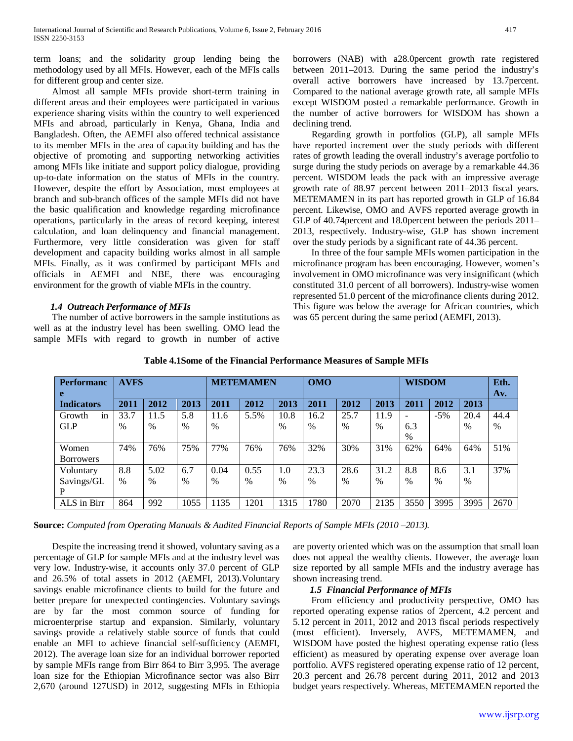term loans; and the solidarity group lending being the methodology used by all MFIs. However, each of the MFIs calls for different group and center size.

 Almost all sample MFIs provide short-term training in different areas and their employees were participated in various experience sharing visits within the country to well experienced MFIs and abroad, particularly in Kenya, Ghana, India and Bangladesh. Often, the AEMFI also offered technical assistance to its member MFIs in the area of capacity building and has the objective of promoting and supporting networking activities among MFIs like initiate and support policy dialogue, providing up-to-date information on the status of MFIs in the country. However, despite the effort by Association, most employees at branch and sub-branch offices of the sample MFIs did not have the basic qualification and knowledge regarding microfinance operations, particularly in the areas of record keeping, interest calculation, and loan delinquency and financial management. Furthermore, very little consideration was given for staff development and capacity building works almost in all sample MFIs. Finally, as it was confirmed by participant MFIs and officials in AEMFI and NBE, there was encouraging environment for the growth of viable MFIs in the country.

### *1.4 Outreach Performance of MFIs*

 The number of active borrowers in the sample institutions as well as at the industry level has been swelling. OMO lead the sample MFIs with regard to growth in number of active borrowers (NAB) with a28.0percent growth rate registered between 2011–2013. During the same period the industry's overall active borrowers have increased by 13.7percent. Compared to the national average growth rate, all sample MFIs except WISDOM posted a remarkable performance. Growth in the number of active borrowers for WISDOM has shown a declining trend.

 Regarding growth in portfolios (GLP), all sample MFIs have reported increment over the study periods with different rates of growth leading the overall industry's average portfolio to surge during the study periods on average by a remarkable 44.36 percent. WISDOM leads the pack with an impressive average growth rate of 88.97 percent between 2011–2013 fiscal years. METEMAMEN in its part has reported growth in GLP of 16.84 percent. Likewise, OMO and AVFS reported average growth in GLP of 40.74percent and 18.0percent between the periods 2011– 2013, respectively. Industry-wise, GLP has shown increment over the study periods by a significant rate of 44.36 percent.

 In three of the four sample MFIs women participation in the microfinance program has been encouraging. However, women's involvement in OMO microfinance was very insignificant (which constituted 31.0 percent of all borrowers). Industry-wise women represented 51.0 percent of the microfinance clients during 2012. This figure was below the average for African countries, which was 65 percent during the same period (AEMFI, 2013).

| <b>Performanc</b> | <b>AVFS</b>   |      |      |               | <b>METEMAMEN</b> |      | <b>OMO</b> |      |               | <b>WISDOM</b> |       |      | Eth. |
|-------------------|---------------|------|------|---------------|------------------|------|------------|------|---------------|---------------|-------|------|------|
| e                 |               |      |      |               |                  |      |            |      |               |               |       |      | Av.  |
| <b>Indicators</b> | 2011          | 2012 | 2013 | 2011          | 2012             | 2013 | 2011       | 2012 | 2013          | 2011          | 2012  | 2013 |      |
| Growth<br>in      | 33.7          | 11.5 | 5.8  | 11.6          | 5.5%             | 10.8 | 16.2       | 25.7 | 11.9          |               | $-5%$ | 20.4 | 44.4 |
| <b>GLP</b>        | $\frac{0}{0}$ | $\%$ | $\%$ | $\frac{0}{0}$ |                  | $\%$ | $\%$       | $\%$ | %             | 6.3           |       | $\%$ | $\%$ |
|                   |               |      |      |               |                  |      |            |      |               | $\%$          |       |      |      |
| Women             | 74%           | 76%  | 75%  | 77%           | 76%              | 76%  | 32%        | 30%  | 31%           | 62%           | 64%   | 64%  | 51%  |
| <b>Borrowers</b>  |               |      |      |               |                  |      |            |      |               |               |       |      |      |
| Voluntary         | 8.8           | 5.02 | 6.7  | 0.04          | 0.55             | 1.0  | 23.3       | 28.6 | 31.2          | 8.8           | 8.6   | 3.1  | 37%  |
| Savings/GL        | $\frac{0}{0}$ | $\%$ | $\%$ | $\%$          | $\%$             | $\%$ | $\%$       | $\%$ | $\frac{0}{0}$ | $\%$          | %     | $\%$ |      |
|                   |               |      |      |               |                  |      |            |      |               |               |       |      |      |
| ALS in Birr       | 864           | 992  | 1055 | 1135          | 1201             | 1315 | 1780       | 2070 | 2135          | 3550          | 3995  | 3995 | 2670 |

#### **Table 4.1Some of the Financial Performance Measures of Sample MFIs**

**Source:** *Computed from Operating Manuals & Audited Financial Reports of Sample MFIs (2010 –2013).* 

 Despite the increasing trend it showed, voluntary saving as a percentage of GLP for sample MFIs and at the industry level was very low. Industry-wise, it accounts only 37.0 percent of GLP and 26.5% of total assets in 2012 (AEMFI, 2013).Voluntary savings enable microfinance clients to build for the future and better prepare for unexpected contingencies. Voluntary savings are by far the most common source of funding for microenterprise startup and expansion. Similarly, voluntary savings provide a relatively stable source of funds that could enable an MFI to achieve financial self-sufficiency (AEMFI, 2012). The average loan size for an individual borrower reported by sample MFIs range from Birr 864 to Birr 3,995. The average loan size for the Ethiopian Microfinance sector was also Birr 2,670 (around 127USD) in 2012, suggesting MFIs in Ethiopia are poverty oriented which was on the assumption that small loan does not appeal the wealthy clients. However, the average loan size reported by all sample MFIs and the industry average has shown increasing trend.

### *1.5 Financial Performance of MFIs*

 From efficiency and productivity perspective, OMO has reported operating expense ratios of 2percent, 4.2 percent and 5.12 percent in 2011, 2012 and 2013 fiscal periods respectively (most efficient). Inversely, AVFS, METEMAMEN, and WISDOM have posted the highest operating expense ratio (less efficient) as measured by operating expense over average loan portfolio. AVFS registered operating expense ratio of 12 percent, 20.3 percent and 26.78 percent during 2011, 2012 and 2013 budget years respectively. Whereas, METEMAMEN reported the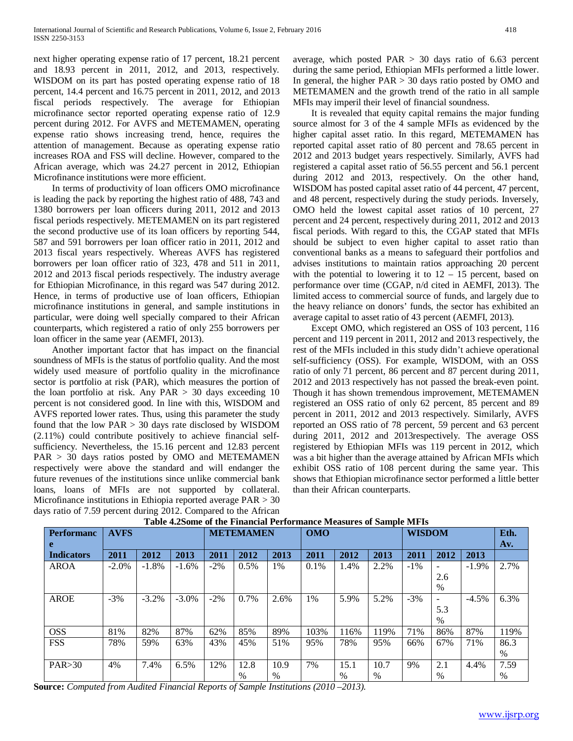next higher operating expense ratio of 17 percent, 18.21 percent and 18.93 percent in 2011, 2012, and 2013, respectively. WISDOM on its part has posted operating expense ratio of 18 percent, 14.4 percent and 16.75 percent in 2011, 2012, and 2013 fiscal periods respectively. The average for Ethiopian microfinance sector reported operating expense ratio of 12.9 percent during 2012. For AVFS and METEMAMEN, operating expense ratio shows increasing trend, hence, requires the attention of management. Because as operating expense ratio increases ROA and FSS will decline. However, compared to the African average, which was 24.27 percent in 2012, Ethiopian Microfinance institutions were more efficient.

 In terms of productivity of loan officers OMO microfinance is leading the pack by reporting the highest ratio of 488, 743 and 1380 borrowers per loan officers during 2011, 2012 and 2013 fiscal periods respectively. METEMAMEN on its part registered the second productive use of its loan officers by reporting 544, 587 and 591 borrowers per loan officer ratio in 2011, 2012 and 2013 fiscal years respectively. Whereas AVFS has registered borrowers per loan officer ratio of 323, 478 and 511 in 2011, 2012 and 2013 fiscal periods respectively. The industry average for Ethiopian Microfinance, in this regard was 547 during 2012. Hence, in terms of productive use of loan officers, Ethiopian microfinance institutions in general, and sample institutions in particular, were doing well specially compared to their African counterparts, which registered a ratio of only 255 borrowers per loan officer in the same year (AEMFI, 2013).

 Another important factor that has impact on the financial soundness of MFIs is the status of portfolio quality. And the most widely used measure of portfolio quality in the microfinance sector is portfolio at risk (PAR), which measures the portion of the loan portfolio at risk. Any  $PAR > 30$  days exceeding 10 percent is not considered good. In line with this, WISDOM and AVFS reported lower rates. Thus, using this parameter the study found that the low PAR > 30 days rate disclosed by WISDOM (2.11%) could contribute positively to achieve financial selfsufficiency. Nevertheless, the 15.16 percent and 12.83 percent PAR > 30 days ratios posted by OMO and METEMAMEN respectively were above the standard and will endanger the future revenues of the institutions since unlike commercial bank loans, loans of MFIs are not supported by collateral. Microfinance institutions in Ethiopia reported average PAR > 30 days ratio of 7.59 percent during 2012. Compared to the African average, which posted  $PAR > 30$  days ratio of 6.63 percent during the same period, Ethiopian MFIs performed a little lower. In general, the higher  $PAR > 30$  days ratio posted by OMO and METEMAMEN and the growth trend of the ratio in all sample MFIs may imperil their level of financial soundness.

 It is revealed that equity capital remains the major funding source almost for 3 of the 4 sample MFIs as evidenced by the higher capital asset ratio. In this regard, METEMAMEN has reported capital asset ratio of 80 percent and 78.65 percent in 2012 and 2013 budget years respectively. Similarly, AVFS had registered a capital asset ratio of 56.55 percent and 56.1 percent during 2012 and 2013, respectively. On the other hand, WISDOM has posted capital asset ratio of 44 percent, 47 percent, and 48 percent, respectively during the study periods. Inversely, OMO held the lowest capital asset ratios of 10 percent, 27 percent and 24 percent, respectively during 2011, 2012 and 2013 fiscal periods. With regard to this, the CGAP stated that MFIs should be subject to even higher capital to asset ratio than conventional banks as a means to safeguard their portfolios and advises institutions to maintain ratios approaching 20 percent with the potential to lowering it to  $12 - 15$  percent, based on performance over time (CGAP, n/d cited in AEMFI, 2013). The limited access to commercial source of funds, and largely due to the heavy reliance on donors' funds, the sector has exhibited an average capital to asset ratio of 43 percent (AEMFI, 2013).

 Except OMO, which registered an OSS of 103 percent, 116 percent and 119 percent in 2011, 2012 and 2013 respectively, the rest of the MFIs included in this study didn't achieve operational self-sufficiency (OSS). For example, WISDOM, with an OSS ratio of only 71 percent, 86 percent and 87 percent during 2011, 2012 and 2013 respectively has not passed the break-even point. Though it has shown tremendous improvement, METEMAMEN registered an OSS ratio of only 62 percent, 85 percent and 89 percent in 2011, 2012 and 2013 respectively. Similarly, AVFS reported an OSS ratio of 78 percent, 59 percent and 63 percent during 2011, 2012 and 2013respectively. The average OSS registered by Ethiopian MFIs was 119 percent in 2012, which was a bit higher than the average attained by African MFIs which exhibit OSS ratio of 108 percent during the same year. This shows that Ethiopian microfinance sector performed a little better than their African counterparts.

| <b>Performanc</b> | <b>AVFS</b> |          |          |        | <b>METEMAMEN</b> |      | <b>OMO</b> |      |      | <b>WISDOM</b> |      |          | Eth. |
|-------------------|-------------|----------|----------|--------|------------------|------|------------|------|------|---------------|------|----------|------|
| e                 |             |          |          |        |                  |      |            |      |      |               |      |          | Av.  |
| <b>Indicators</b> | 2011        | 2012     | 2013     | 2011   | 2012             | 2013 | 2011       | 2012 | 2013 | 2011          | 2012 | 2013     |      |
| <b>AROA</b>       | $-2.0\%$    | $-1.8%$  | $-1.6%$  | $-2\%$ | 0.5%             | 1%   | 0.1%       | 1.4% | 2.2% | $-1\%$        |      | $-1.9%$  | 2.7% |
|                   |             |          |          |        |                  |      |            |      |      |               | 2.6  |          |      |
|                   |             |          |          |        |                  |      |            |      |      |               | $\%$ |          |      |
| <b>AROE</b>       | $-3%$       | $-3.2\%$ | $-3.0\%$ | $-2\%$ | 0.7%             | 2.6% | 1%         | 5.9% | 5.2% | $-3%$         | Ξ.   | $-4.5\%$ | 6.3% |
|                   |             |          |          |        |                  |      |            |      |      |               | 5.3  |          |      |
|                   |             |          |          |        |                  |      |            |      |      |               | $\%$ |          |      |
| <b>OSS</b>        | 81%         | 82%      | 87%      | 62%    | 85%              | 89%  | 103%       | 116% | 119% | 71%           | 86%  | 87%      | 119% |
| <b>FSS</b>        | 78%         | 59%      | 63%      | 43%    | 45%              | 51%  | 95%        | 78%  | 95%  | 66%           | 67%  | 71%      | 86.3 |
|                   |             |          |          |        |                  |      |            |      |      |               |      |          | $\%$ |
| PAR > 30          | 4%          | 7.4%     | 6.5%     | 12%    | 12.8             | 10.9 | 7%         | 15.1 | 10.7 | 9%            | 2.1  | 4.4%     | 7.59 |
|                   |             |          |          |        | $\%$             | $\%$ |            | $\%$ | $\%$ |               | $\%$ |          | $\%$ |

**Table 4.2Some of the Financial Performance Measures of Sample MFIs**

**Source:** *Computed from Audited Financial Reports of Sample Institutions (2010 –2013).*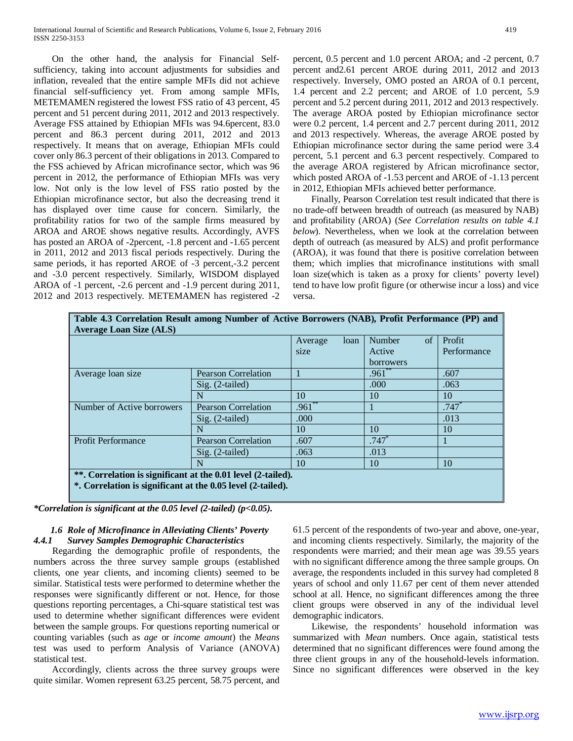On the other hand, the analysis for Financial Selfsufficiency, taking into account adjustments for subsidies and inflation, revealed that the entire sample MFIs did not achieve financial self-sufficiency yet. From among sample MFIs, METEMAMEN registered the lowest FSS ratio of 43 percent, 45 percent and 51 percent during 2011, 2012 and 2013 respectively. Average FSS attained by Ethiopian MFIs was 94.6percent, 83.0 percent and 86.3 percent during 2011, 2012 and 2013 respectively. It means that on average, Ethiopian MFIs could cover only 86.3 percent of their obligations in 2013. Compared to the FSS achieved by African microfinance sector, which was 96 percent in 2012, the performance of Ethiopian MFIs was very low. Not only is the low level of FSS ratio posted by the Ethiopian microfinance sector, but also the decreasing trend it has displayed over time cause for concern. Similarly, the profitability ratios for two of the sample firms measured by AROA and AROE shows negative results. Accordingly, AVFS has posted an AROA of -2percent, -1.8 percent and -1.65 percent in 2011, 2012 and 2013 fiscal periods respectively. During the same periods, it has reported AROE of -3 percent,-3.2 percent and -3.0 percent respectively. Similarly, WISDOM displayed AROA of -1 percent, -2.6 percent and -1.9 percent during 2011, 2012 and 2013 respectively. METEMAMEN has registered -2

percent, 0.5 percent and 1.0 percent AROA; and -2 percent, 0.7 percent and2.61 percent AROE during 2011, 2012 and 2013 respectively. Inversely, OMO posted an AROA of 0.1 percent, 1.4 percent and 2.2 percent; and AROE of 1.0 percent, 5.9 percent and 5.2 percent during 2011, 2012 and 2013 respectively. The average AROA posted by Ethiopian microfinance sector were 0.2 percent, 1.4 percent and 2.7 percent during 2011, 2012 and 2013 respectively. Whereas, the average AROE posted by Ethiopian microfinance sector during the same period were 3.4 percent, 5.1 percent and 6.3 percent respectively. Compared to the average AROA registered by African microfinance sector, which posted AROA of -1.53 percent and AROE of -1.13 percent in 2012, Ethiopian MFIs achieved better performance.

 Finally, Pearson Correlation test result indicated that there is no trade-off between breadth of outreach (as measured by NAB) and profitability (AROA) (*See Correlation results on table 4.1 below*). Nevertheless, when we look at the correlation between depth of outreach (as measured by ALS) and profit performance (AROA), it was found that there is positive correlation between them; which implies that microfinance institutions with small loan size(which is taken as a proxy for clients' poverty level) tend to have low profit figure (or otherwise incur a loss) and vice versa.

| Table 4.3 Correlation Result among Number of Active Borrowers (NAB), Profit Performance (PP) and |                            |                 |                     |             |  |  |  |  |  |
|--------------------------------------------------------------------------------------------------|----------------------------|-----------------|---------------------|-------------|--|--|--|--|--|
| <b>Average Loan Size (ALS)</b>                                                                   |                            |                 |                     |             |  |  |  |  |  |
|                                                                                                  |                            | loan<br>Average | Number<br>of        | Profit      |  |  |  |  |  |
|                                                                                                  |                            | size            | Active              | Performance |  |  |  |  |  |
|                                                                                                  |                            |                 | borrowers           |             |  |  |  |  |  |
| Average loan size                                                                                | <b>Pearson Correlation</b> |                 | $.961^{**}$         | .607        |  |  |  |  |  |
|                                                                                                  | $Sig. (2-tailed)$          |                 | .000                | .063        |  |  |  |  |  |
|                                                                                                  | N                          | 10              | 10                  | 10          |  |  |  |  |  |
| Number of Active borrowers                                                                       | <b>Pearson Correlation</b> | $.961$ **       |                     | .747        |  |  |  |  |  |
|                                                                                                  | $Sig. (2-tailed)$          | .000            |                     | .013        |  |  |  |  |  |
|                                                                                                  | N                          | 10              | 10                  | 10          |  |  |  |  |  |
| <b>Profit Performance</b>                                                                        | <b>Pearson Correlation</b> | .607            | $.747$ <sup>*</sup> |             |  |  |  |  |  |
|                                                                                                  | $Sig. (2-tailed)$          | .063            | .013                |             |  |  |  |  |  |
|                                                                                                  | N                          | 10              | 10                  | 10          |  |  |  |  |  |
| **. Correlation is significant at the 0.01 level (2-tailed).                                     |                            |                 |                     |             |  |  |  |  |  |
| *. Correlation is significant at the 0.05 level (2-tailed).                                      |                            |                 |                     |             |  |  |  |  |  |
|                                                                                                  |                            |                 |                     |             |  |  |  |  |  |

*\*Correlation is significant at the 0.05 level (2-tailed) (p<0.05).*

# *1.6 Role of Microfinance in Alleviating Clients' Poverty 4.4.1 Survey Samples Demographic Characteristics*

 Regarding the demographic profile of respondents, the numbers across the three survey sample groups (established clients, one year clients, and incoming clients) seemed to be similar. Statistical tests were performed to determine whether the responses were significantly different or not. Hence, for those questions reporting percentages, a Chi-square statistical test was used to determine whether significant differences were evident between the sample groups. For questions reporting numerical or counting variables (such as *age* or *income amount*) the *Means* test was used to perform Analysis of Variance (ANOVA) statistical test.

 Accordingly, clients across the three survey groups were quite similar. Women represent 63.25 percent, 58.75 percent, and

61.5 percent of the respondents of two-year and above, one-year, and incoming clients respectively. Similarly, the majority of the respondents were married; and their mean age was 39.55 years with no significant difference among the three sample groups. On average, the respondents included in this survey had completed 8 years of school and only 11.67 per cent of them never attended school at all. Hence, no significant differences among the three client groups were observed in any of the individual level demographic indicators.

 Likewise, the respondents' household information was summarized with *Mean* numbers. Once again, statistical tests determined that no significant differences were found among the three client groups in any of the household-levels information. Since no significant differences were observed in the key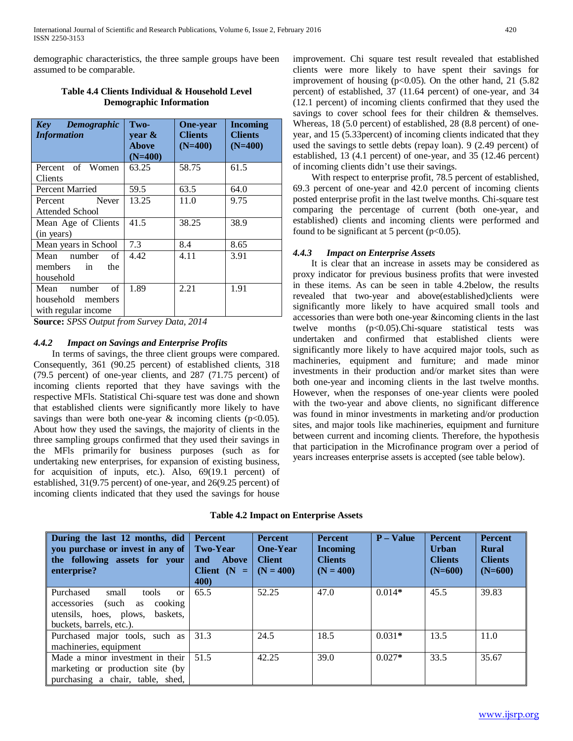demographic characteristics, the three sample groups have been assumed to be comparable.

| Demographic<br>Key<br><b>Information</b> | Two-<br>year $\&$<br><b>Above</b><br>$(N=400)$ | <b>One-year</b><br><b>Clients</b><br>$(N=400)$ | <b>Incoming</b><br><b>Clients</b><br>$(N=400)$ |
|------------------------------------------|------------------------------------------------|------------------------------------------------|------------------------------------------------|
| Percent of Women                         | 63.25                                          | 58.75                                          | 61.5                                           |
| Clients                                  |                                                |                                                |                                                |
| Percent Married                          | 59.5                                           | 63.5                                           | 64.0                                           |
| <b>Never</b><br>Percent                  | 13.25                                          | 11.0                                           | 9.75                                           |
| Attended School                          |                                                |                                                |                                                |
| Mean Age of Clients                      | 41.5                                           | 38.25                                          | 38.9                                           |
| (in years)                               |                                                |                                                |                                                |
| Mean years in School                     | 7.3                                            | 8.4                                            | 8.65                                           |
| Mean number<br>of                        | 4.42                                           | 4.11                                           | 3.91                                           |
| members<br>the<br>in                     |                                                |                                                |                                                |
| household                                |                                                |                                                |                                                |
| of<br>number<br>Mean                     | 1.89                                           | 2.21                                           | 1.91                                           |
| household members                        |                                                |                                                |                                                |
| with regular income                      |                                                |                                                |                                                |

# **Table 4.4 Clients Individual & Household Level Demographic Information**

**Source:** *SPSS Output from Survey Data, 2014*

# *4.4.2 Impact on Savings and Enterprise Profits*

 In terms of savings, the three client groups were compared. Consequently, 361 (90.25 percent) of established clients, 318 (79.5 percent) of one-year clients, and 287 (71.75 percent) of incoming clients reported that they have savings with the respective MFls. Statistical Chi-square test was done and shown that established clients were significantly more likely to have savings than were both one-year  $\&$  incoming clients (p<0.05). About how they used the savings, the majority of clients in the three sampling groups confirmed that they used their savings in the MFls primarily for business purposes (such as for undertaking new enterprises, for expansion of existing business, for acquisition of inputs, etc.). Also, 69(19.1 percent) of established, 31(9.75 percent) of one-year, and 26(9.25 percent) of incoming clients indicated that they used the savings for house improvement. Chi square test result revealed that established clients were more likely to have spent their savings for improvement of housing  $(p<0.05)$ . On the other hand, 21 (5.82) percent) of established, 37 (11.64 percent) of one-year, and 34 (12.1 percent) of incoming clients confirmed that they used the savings to cover school fees for their children & themselves. Whereas, 18 (5.0 percent) of established, 28 (8.8 percent) of oneyear, and 15 (5.33percent) of incoming clients indicated that they used the savings to settle debts (repay loan). 9 (2.49 percent) of established, 13 (4.1 percent) of one-year, and 35 (12.46 percent) of incoming clients didn't use their savings.

 With respect to enterprise profit, 78.5 percent of established, 69.3 percent of one-year and 42.0 percent of incoming clients posted enterprise profit in the last twelve months. Chi-square test comparing the percentage of current (both one-year, and established) clients and incoming clients were performed and found to be significant at 5 percent ( $p<0.05$ ).

# *4.4.3 Impact on Enterprise Assets*

 It is clear that an increase in assets may be considered as proxy indicator for previous business profits that were invested in these items. As can be seen in table 4.2below, the results revealed that two-year and above(established)clients were significantly more likely to have acquired small tools and accessories than were both one-year &incoming clients in the last twelve months (p<0.05).Chi-square statistical tests was undertaken and confirmed that established clients were significantly more likely to have acquired major tools, such as machineries, equipment and furniture; and made minor investments in their production and/or market sites than were both one-year and incoming clients in the last twelve months. However, when the responses of one-year clients were pooled with the two-year and above clients, no significant difference was found in minor investments in marketing and/or production sites, and major tools like machineries, equipment and furniture between current and incoming clients. Therefore, the hypothesis that participation in the Microfinance program over a period of years increases enterprise assets is accepted (see table below).

### **Table 4.2 Impact on Enterprise Assets**

| During the last 12 months, did<br>you purchase or invest in any of<br>the following assets for your<br>enterprise?                                 | <b>Percent</b><br><b>Two-Year</b><br><b>Above</b><br>and<br>Client $(N =$<br><b>400</b> | <b>Percent</b><br><b>One-Year</b><br><b>Client</b><br>$(N = 400)$ | <b>Percent</b><br><b>Incoming</b><br><b>Clients</b><br>$(N = 400)$ | $P - Value$ | <b>Percent</b><br><b>Urban</b><br><b>Clients</b><br>$(N=600)$ | <b>Percent</b><br><b>Rural</b><br><b>Clients</b><br>$(N=600)$ |
|----------------------------------------------------------------------------------------------------------------------------------------------------|-----------------------------------------------------------------------------------------|-------------------------------------------------------------------|--------------------------------------------------------------------|-------------|---------------------------------------------------------------|---------------------------------------------------------------|
| Purchased<br>small<br>tools<br>$\alpha$<br>(such<br>cooking<br>accessories<br>as<br>utensils, hoes, plows,<br>baskets.<br>buckets, barrels, etc.). | 65.5                                                                                    | 52.25                                                             | 47.0                                                               | $0.014*$    | 45.5                                                          | 39.83                                                         |
| Purchased major tools, such as<br>machineries, equipment                                                                                           | 31.3                                                                                    | 24.5                                                              | 18.5                                                               | $0.031*$    | 13.5                                                          | 11.0                                                          |
| Made a minor investment in their<br>marketing or production site (by<br>purchasing a chair, table, shed,                                           | 51.5                                                                                    | 42.25                                                             | 39.0                                                               | $0.027*$    | 33.5                                                          | 35.67                                                         |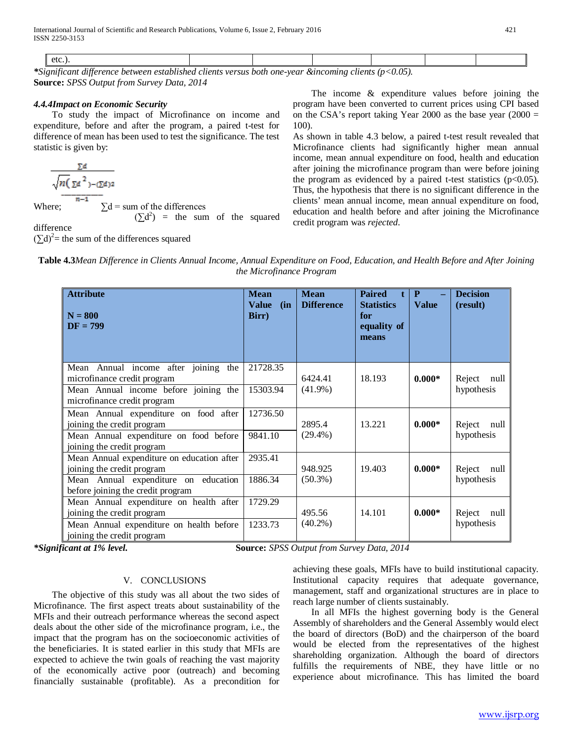| .<br>orenc.<br>W<br>one.<br>nei<br>vear<br>nou<br>7711<br>,,,,,, |  |  |  |  |
|------------------------------------------------------------------|--|--|--|--|

*\*Significant difference between established clients versus both one-year &incoming clients (p<0.05).* **Source:** *SPSS Output from Survey Data, 2014*

# *4.4.4Impact on Economic Security*

 To study the impact of Microfinance on income and expenditure, before and after the program, a paired t-test for difference of mean has been used to test the significance. The test statistic is given by:

$$
\frac{\sum d}{\sqrt{n(\sum d^2) - (\sum d)^2}}
$$
  
here:  

$$
n-1
$$

$$
\sum d = \text{sum of } d
$$

Where;  $\Sigma d = \text{sum of the differences}$ 

 $(\Sigma d^2)$  = the sum of the squared

difference

 $(\Sigma d)^2$  = the sum of the differences squared

 The income & expenditure values before joining the program have been converted to current prices using CPI based on the CSA's report taking Year 2000 as the base year  $(2000 =$ 100).

As shown in table 4.3 below, a paired t-test result revealed that Microfinance clients had significantly higher mean annual income, mean annual expenditure on food, health and education after joining the microfinance program than were before joining the program as evidenced by a paired t-test statistics  $(p<0.05)$ . Thus, the hypothesis that there is no significant difference in the clients' mean annual income, mean annual expenditure on food, education and health before and after joining the Microfinance credit program was *rejected*.

**Table 4.3***Mean Difference in Clients Annual Income, Annual Expenditure on Food, Education, and Health Before and After Joining the Microfinance Program*

| <b>Attribute</b><br>$N = 800$<br>$DF = 799$                                                                                                           | <b>Mean</b><br><b>Value</b><br>(in)<br>Birr) | <b>Mean</b><br><b>Difference</b> | <b>Paired</b><br><b>Statistics</b><br>for<br>equality of<br>means | P<br><b>Value</b> | <b>Decision</b><br>(result)  |
|-------------------------------------------------------------------------------------------------------------------------------------------------------|----------------------------------------------|----------------------------------|-------------------------------------------------------------------|-------------------|------------------------------|
| Mean Annual income after joining the<br>microfinance credit program<br>Mean Annual income before joining the<br>microfinance credit program           | 21728.35<br>15303.94                         | 6424.41<br>$(41.9\%)$            | 18.193                                                            | $0.000*$          | Reject<br>null<br>hypothesis |
| Mean Annual expenditure on food after<br>joining the credit program<br>Mean Annual expenditure on food before<br>joining the credit program           | 12736.50<br>9841.10                          | 2895.4<br>$(29.4\%)$             | 13.221                                                            | $0.000*$          | Reject<br>null<br>hypothesis |
| Mean Annual expenditure on education after<br>joining the credit program<br>Mean Annual expenditure on education<br>before joining the credit program | 2935.41<br>1886.34                           | 948.925<br>$(50.3\%)$            | 19.403                                                            | $0.000*$          | Reject<br>null<br>hypothesis |
| Mean Annual expenditure on health after<br>joining the credit program<br>Mean Annual expenditure on health before<br>joining the credit program       | 1729.29<br>1233.73                           | 495.56<br>$(40.2\%)$             | 14.101                                                            | $0.000*$          | Reject<br>null<br>hypothesis |

*\*Significant at 1% level.* **Source:** *SPSS Output from Survey Data, 2014*

# V. CONCLUSIONS

 The objective of this study was all about the two sides of Microfinance. The first aspect treats about sustainability of the MFIs and their outreach performance whereas the second aspect deals about the other side of the microfinance program, i.e., the impact that the program has on the socioeconomic activities of the beneficiaries. It is stated earlier in this study that MFIs are expected to achieve the twin goals of reaching the vast majority of the economically active poor (outreach) and becoming financially sustainable (profitable). As a precondition for achieving these goals, MFIs have to build institutional capacity. Institutional capacity requires that adequate governance, management, staff and organizational structures are in place to reach large number of clients sustainably.

 In all MFIs the highest governing body is the General Assembly of shareholders and the General Assembly would elect the board of directors (BoD) and the chairperson of the board would be elected from the representatives of the highest shareholding organization. Although the board of directors fulfills the requirements of NBE, they have little or no experience about microfinance. This has limited the board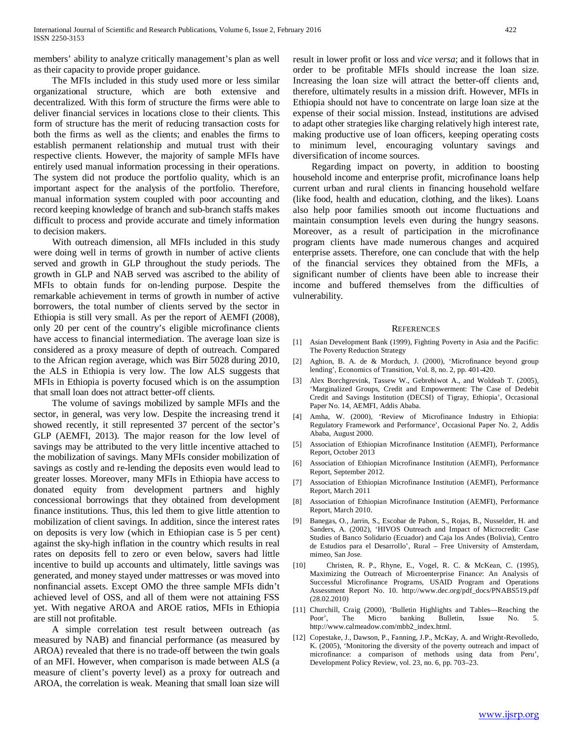members' ability to analyze critically management's plan as well as their capacity to provide proper guidance.

 The MFIs included in this study used more or less similar organizational structure, which are both extensive and decentralized. With this form of structure the firms were able to deliver financial services in locations close to their clients. This form of structure has the merit of reducing transaction costs for both the firms as well as the clients; and enables the firms to establish permanent relationship and mutual trust with their respective clients. However, the majority of sample MFIs have entirely used manual information processing in their operations. The system did not produce the portfolio quality, which is an important aspect for the analysis of the portfolio. Therefore, manual information system coupled with poor accounting and record keeping knowledge of branch and sub-branch staffs makes difficult to process and provide accurate and timely information to decision makers.

 With outreach dimension, all MFIs included in this study were doing well in terms of growth in number of active clients served and growth in GLP throughout the study periods. The growth in GLP and NAB served was ascribed to the ability of MFIs to obtain funds for on-lending purpose. Despite the remarkable achievement in terms of growth in number of active borrowers, the total number of clients served by the sector in Ethiopia is still very small. As per the report of AEMFI (2008), only 20 per cent of the country's eligible microfinance clients have access to financial intermediation. The average loan size is considered as a proxy measure of depth of outreach. Compared to the African region average, which was Birr 5028 during 2010, the ALS in Ethiopia is very low. The low ALS suggests that MFIs in Ethiopia is poverty focused which is on the assumption that small loan does not attract better-off clients.

 The volume of savings mobilized by sample MFIs and the sector, in general, was very low. Despite the increasing trend it showed recently, it still represented 37 percent of the sector's GLP (AEMFI, 2013). The major reason for the low level of savings may be attributed to the very little incentive attached to the mobilization of savings. Many MFIs consider mobilization of savings as costly and re-lending the deposits even would lead to greater losses. Moreover, many MFIs in Ethiopia have access to donated equity from development partners and highly concessional borrowings that they obtained from development finance institutions. Thus, this led them to give little attention to mobilization of client savings. In addition, since the interest rates on deposits is very low (which in Ethiopian case is 5 per cent) against the sky-high inflation in the country which results in real rates on deposits fell to zero or even below, savers had little incentive to build up accounts and ultimately, little savings was generated, and money stayed under mattresses or was moved into nonfinancial assets. Except OMO the three sample MFIs didn't achieved level of OSS, and all of them were not attaining FSS yet. With negative AROA and AROE ratios, MFIs in Ethiopia are still not profitable.

 A simple correlation test result between outreach (as measured by NAB) and financial performance (as measured by AROA) revealed that there is no trade-off between the twin goals of an MFI. However, when comparison is made between ALS (a measure of client's poverty level) as a proxy for outreach and AROA, the correlation is weak. Meaning that small loan size will result in lower profit or loss and *vice versa*; and it follows that in order to be profitable MFIs should increase the loan size. Increasing the loan size will attract the better-off clients and, therefore, ultimately results in a mission drift. However, MFIs in Ethiopia should not have to concentrate on large loan size at the expense of their social mission. Instead, institutions are advised to adapt other strategies like charging relatively high interest rate, making productive use of loan officers, keeping operating costs to minimum level, encouraging voluntary savings and diversification of income sources.

 Regarding impact on poverty, in addition to boosting household income and enterprise profit, microfinance loans help current urban and rural clients in financing household welfare (like food, health and education, clothing, and the likes). Loans also help poor families smooth out income fluctuations and maintain consumption levels even during the hungry seasons. Moreover, as a result of participation in the microfinance program clients have made numerous changes and acquired enterprise assets. Therefore, one can conclude that with the help of the financial services they obtained from the MFIs, a significant number of clients have been able to increase their income and buffered themselves from the difficulties of vulnerability.

#### **REFERENCES**

- [1] Asian Development Bank (1999), Fighting Poverty in Asia and the Pacific: The Poverty Reduction Strategy
- [2] Aghion, B. A. de & Morduch, J. (2000), 'Microfinance beyond group lending', Economics of Transition, Vol. 8, no. 2, pp. 401-420.
- [3] Alex Borchgrevink, Tassew W., Gebrehiwot A., and Woldeab T. (2005), 'Marginalized Groups, Credit and Empowerment: The Case of Dedebit Credit and Savings Institution (DECSI) of Tigray, Ethiopia', Occasional Paper No. 14, AEMFI, Addis Ababa.
- [4] Amha, W. (2000), 'Review of Microfinance Industry in Ethiopia: Regulatory Framework and Performance', Occasional Paper No. 2, Addis Ababa, August 2000.
- [5] Association of Ethiopian Microfinance Institution (AEMFI), Performance Report, October 2013
- [6] Association of Ethiopian Microfinance Institution (AEMFI), Performance Report, September 2012.
- [7] Association of Ethiopian Microfinance Institution (AEMFI), Performance Report, March 2011
- [8] Association of Ethiopian Microfinance Institution (AEMFI), Performance Report, March 2010.
- [9] Banegas, O., Jarrin, S., Escobar de Pabon, S., Rojas, B., Nusselder, H. and Sanders, A. (2002), 'HIVOS Outreach and Impact of Microcredit: Case Studies of Banco Solidario (Ecuador) and Caja los Andes (Bolivia), Centro de Estudios para el Desarrollo', Rural – Free University of Amsterdam, mimeo, San Jose.
- [10] Christen, R. P., Rhyne, E., Vogel, R. C. & McKean, C. (1995), Maximizing the Outreach of Microenterprise Finance: An Analysis of Successful Microfinance Programs, USAID Program and Operations Assessment Report No. 10. http://www.dec.org/pdf\_docs/PNABS519.pdf (28.02.2010)
- [11] Churchill, Craig (2000), 'Bulletin Highlights and Tables—Reaching the Poor', The Micro banking Bulletin, Issue No. 5. http://www.calmeadow.com/mbb2\_index.html.
- [12] Copestake, J., Dawson, P., Fanning, J.P., McKay, A. and Wright-Revolledo, K. (2005), 'Monitoring the diversity of the poverty outreach and impact of microfinance: a comparison of methods using data from Peru', Development Policy Review, vol. 23, no. 6, pp. 703–23.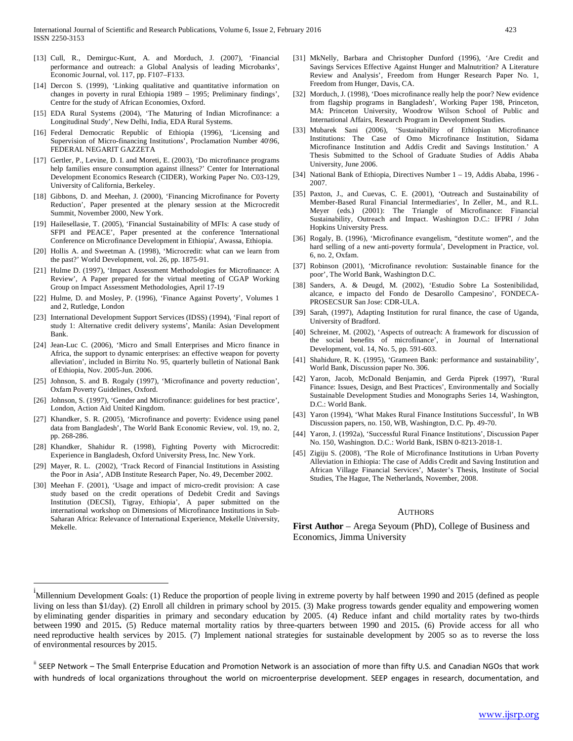- [13] Cull, R., Demirguc-Kunt, A. and Morduch, J. (2007), 'Financial performance and outreach: a Global Analysis of leading Microbanks', Economic Journal, vol. 117, pp. F107–F133.
- [14] Dercon S. (1999), 'Linking qualitative and quantitative information on changes in poverty in rural Ethiopia 1989 – 1995; Preliminary findings', Centre for the study of African Economies, Oxford.
- [15] EDA Rural Systems (2004), 'The Maturing of Indian Microfinance: a Longitudinal Study', New Delhi, India, EDA Rural Systems.
- [16] Federal Democratic Republic of Ethiopia (1996), 'Licensing and Supervision of Micro-financing Institutions', Proclamation Number 40\96, FEDERAL NEGARIT GAZZETA
- [17] Gertler, P., Levine, D. I. and Moreti, E. (2003), 'Do microfinance programs help families ensure consumption against illness?' Center for International Development Economics Research (CIDER), Working Paper No. C03-129, University of California, Berkeley.
- [18] Gibbons, D. and Meehan, J. (2000), 'Financing Microfinance for Poverty Reduction', Paper presented at the plenary session at the Microcredit Summit, November 2000, New York.
- [19] Hailesellasie, T. (2005), 'Financial Sustainability of MFIs: A case study of SFPI and PEACE', Paper presented at the conference 'International Conference on Microfinance Development in Ethiopia', Awassa, Ethiopia.
- [20] Hollis A. and Sweetman A. (1998), 'Microcredit: what can we learn from the past?' World Development, vol. 26, pp. 1875-91.
- [21] Hulme D. (1997), 'Impact Assessment Methodologies for Microfinance: A Review', A Paper prepared for the virtual meeting of CGAP Working Group on Impact Assessment Methodologies, April 17-19
- [22] Hulme, D. and Mosley, P. (1996), 'Finance Against Poverty', Volumes 1 and 2, Rutledge, London
- [23] International Development Support Services (IDSS) (1994), 'Final report of study 1: Alternative credit delivery systems', Manila: Asian Development Bank.
- [24] Jean-Luc C. (2006), 'Micro and Small Enterprises and Micro finance in Africa, the support to dynamic enterprises: an effective weapon for poverty alleviation', included in Birritu No. 95, quarterly bulletin of National Bank of Ethiopia, Nov. 2005-Jun. 2006.
- [25] Johnson, S. and B. Rogaly (1997), 'Microfinance and poverty reduction', Oxfam Poverty Guidelines, Oxford.
- [26] Johnson, S. (1997), 'Gender and Microfinance: guidelines for best practice', London, Action Aid United Kingdom.
- [27] Khandker, S. R. (2005), 'Microfinance and poverty: Evidence using panel data from Bangladesh', The World Bank Economic Review, vol. 19, no. 2, pp. 268-286.
- [28] Khandker, Shahidur R. (1998), Fighting Poverty with Microcredit: Experience in Bangladesh, Oxford University Press, Inc. New York.
- [29] Mayer, R. L. (2002), 'Track Record of Financial Institutions in Assisting the Poor in Asia', ADB Institute Research Paper, No. 49, December 2002.
- [30] Meehan F. (2001), 'Usage and impact of micro-credit provision: A case study based on the credit operations of Dedebit Credit and Savings Institution (DECSI), Tigray, Ethiopia', A paper submitted on the international workshop on Dimensions of Microfinance Institutions in Sub-Saharan Africa: Relevance of International Experience, Mekelle University, Mekelle.
- [31] MkNelly, Barbara and Christopher Dunford (1996), 'Are Credit and Savings Services Effective Against Hunger and Malnutrition? A Literature Review and Analysis', Freedom from Hunger Research Paper No. 1, Freedom from Hunger, Davis, CA.
- [32] Morduch, J. (1998), 'Does microfinance really help the poor? New evidence from flagship programs in Bangladesh', Working Paper 198, Princeton, MA: Princeton University, Woodrow Wilson School of Public and International Affairs, Research Program in Development Studies.
- [33] Mubarek Sani (2006), 'Sustainability of Ethiopian Microfinance Institutions: The Case of Omo Microfinance Institution, Sidama Microfinance Institution and Addis Credit and Savings Institution.' A Thesis Submitted to the School of Graduate Studies of Addis Ababa University, June 2006.
- [34] National Bank of Ethiopia, Directives Number 1 19, Addis Ababa, 1996 2007.
- [35] Paxton, J., and Cuevas, C. E. (2001), 'Outreach and Sustainability of Member-Based Rural Financial Intermediaries', In Zeller, M., and R.L. Meyer (eds.) (2001): The Triangle of Microfinance: Financial Sustainability, Outreach and Impact. Washington D.C.: IFPRI / John Hopkins University Press.
- [36] Rogaly, B. (1996), 'Microfinance evangelism, "destitute women", and the hard selling of a new anti-poverty formula', Development in Practice, vol. 6, no. 2, Oxfam.
- [37] Robinson (2001), 'Microfinance revolution: Sustainable finance for the poor', The World Bank, Washington D.C.
- [38] Sanders, A. & Deugd, M. (2002), 'Estudio Sobre La Sostenibilidad, alcance, e impacto del Fondo de Desarollo Campesino', FONDECA-PROSECSUR San Jose: CDR-ULA.
- [39] Sarah, (1997), Adapting Institution for rural finance, the case of Uganda, University of Bradford.
- [40] Schreiner, M. (2002), 'Aspects of outreach: A framework for discussion of the social benefits of microfinance', in Journal of International Development, vol. 14, No. 5, pp. 591-603.
- [41] Shahidure, R. K. (1995), 'Grameen Bank: performance and sustainability', World Bank, Discussion paper No. 306.
- [42] Yaron, Jacob, McDonald Benjamin, and Gerda Piprek (1997), 'Rural Finance: Issues, Design, and Best Practices', Environmentally and Socially Sustainable Development Studies and Monographs Series 14, Washington, D.C.: World Bank.
- [43] Yaron (1994), 'What Makes Rural Finance Institutions Successful', In WB Discussion papers, no. 150, WB, Washington, D.C. Pp. 49-70.
- [44] Yaron, J. (1992a), 'Successful Rural Finance Institutions', Discussion Paper No. 150, Washington. D.C.: World Bank, ISBN 0‐8213‐2018‐1.
- [45] Zigiju S. (2008), 'The Role of Microfinance Institutions in Urban Poverty Alleviation in Ethiopia: The case of Addis Credit and Saving Institution and African Village Financial Services', Master's Thesis, Institute of Social Studies, The Hague, The Netherlands, November, 2008.

#### AUTHORS

**First Author** – Arega Seyoum (PhD), College of Business and Economics, Jimma University

<span id="page-11-0"></span>i Millennium Development Goals: (1) Reduce the proportion of people living in extreme poverty by half between 1990 and 2015 (defined as people living on less than \$1/day). (2) Enroll all children in primary school by 2015. (3) Make progress towards gender equality and empowering women by eliminating gender disparities in primary and secondary education by 2005. (4) Reduce infant and child mortality rates by two-thirds between 1990 and 2015**.** (5) Reduce maternal mortality ratios by three-quarters between 1990 and 2015**.** (6) Provide access for all who need reproductive health services by 2015. (7) Implement national strategies for sustainable development by 2005 so as to reverse the loss of environmental resources by 2015.

<span id="page-11-1"></span>ii SEEP Network – The Small Enterprise Education and Promotion Network is an association of more than fifty U.S. and Canadian NGOs that work with hundreds of local organizations throughout the world on microenterprise development. SEEP engages in research, documentation, and